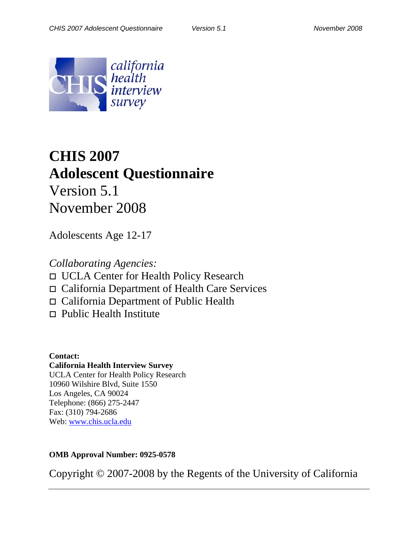

# **CHIS 2007 Adolescent Questionnaire**  Version 5.1 November 2008

Adolescents Age 12-17

*Collaborating Agencies:* 

UCLA Center for Health Policy Research

California Department of Health Care Services

California Department of Public Health

□ Public Health Institute

**Contact: California Health Interview Survey**  UCLA Center for Health Policy Research 10960 Wilshire Blvd, Suite 1550 Los Angeles, CA 90024 Telephone: (866) 275-2447 Fax: (310) 794-2686 Web: [www.chis.ucla.edu](http://www.chis.ucla.edu/)

**OMB Approval Number: 0925-0578** 

Copyright © 2007-2008 by the Regents of the University of California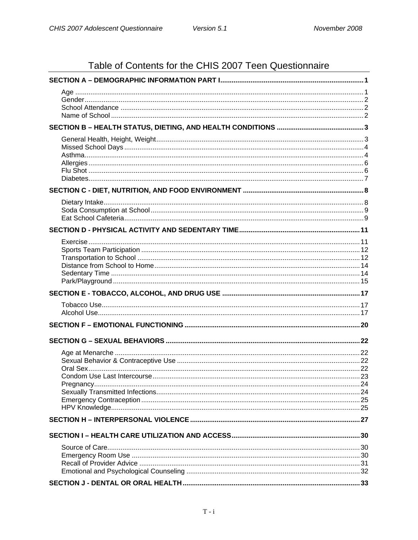# Table of Contents for the CHIS 2007 Teen Questionnaire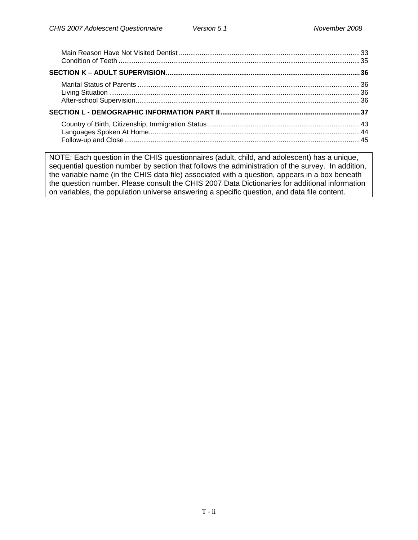NOTE: Each question in the CHIS questionnaires (adult, child, and adolescent) has a unique, sequential question number by section that follows the administration of the survey. In addition, the variable name (in the CHIS data file) associated with a question, appears in a box beneath the question number. Please consult the CHIS 2007 Data Dictionaries for additional information on variables, the population universe answering a specific question, and data file content.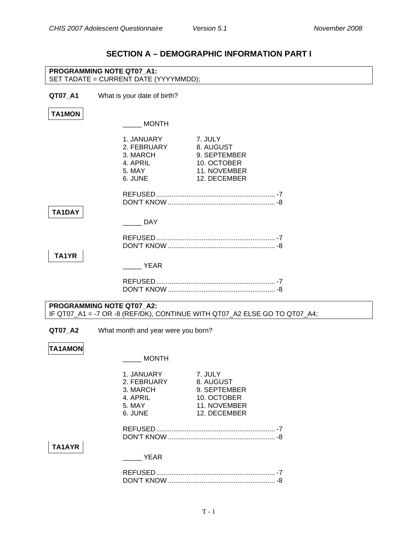### **SECTION A – DEMOGRAPHIC INFORMATION PART I**

<span id="page-3-0"></span>

|                | PROGRAMMING NOTE QT07 A1:<br>SET TADATE = CURRENT DATE (YYYYMMDD);                                                                                            |
|----------------|---------------------------------------------------------------------------------------------------------------------------------------------------------------|
| QT07_A1        | What is your date of birth?                                                                                                                                   |
| <b>TA1MON</b>  |                                                                                                                                                               |
|                | MONTH                                                                                                                                                         |
|                | 1. JANUARY<br>7. JULY<br>2. FEBRUARY<br>8. AUGUST<br>3. MARCH<br>9. SEPTEMBER<br>4. APRIL<br>10. OCTOBER<br>5. MAY<br>11. NOVEMBER<br>6. JUNE<br>12. DECEMBER |
| <b>TA1DAY</b>  |                                                                                                                                                               |
|                | <b>DAY</b>                                                                                                                                                    |
|                |                                                                                                                                                               |
| TA1YR          | <b>YEAR</b>                                                                                                                                                   |
|                |                                                                                                                                                               |
|                | PROGRAMMING NOTE QT07_A2:<br>IF QT07_A1 = -7 OR -8 (REF/DK), CONTINUE WITH QT07_A2 ELSE GO TO QT07_A4;                                                        |
| QT07_A2        | What month and year were you born?                                                                                                                            |
| <b>TA1AMON</b> | <b>MONTH</b>                                                                                                                                                  |
|                | 1. JANUARY<br>7. JULY<br>2. FEBRUARY<br>8. AUGUST<br>9. SEPTEMBER<br>3. MARCH<br>4. APRIL<br>10. OCTOBER<br>11. NOVEMBER<br>5. MAY<br>6. JUNE<br>12. DECEMBER |
| TA1AYR         | <b>EXAMPLE YEAR</b>                                                                                                                                           |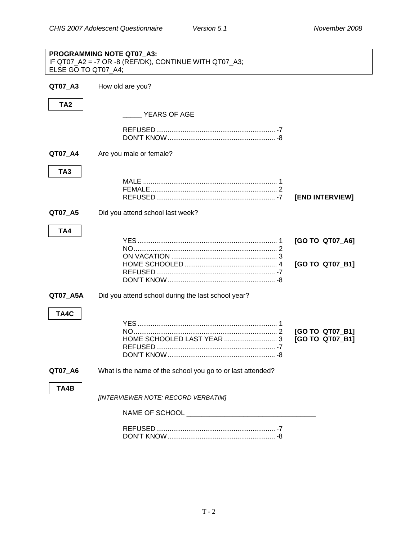<span id="page-4-0"></span>

| ELSE GO TO QT07_A4; | PROGRAMMING NOTE QT07_A3:<br>IF QT07_A2 = -7 OR -8 (REF/DK), CONTINUE WITH QT07_A3; |                                    |
|---------------------|-------------------------------------------------------------------------------------|------------------------------------|
| QT07_A3             | How old are you?                                                                    |                                    |
| TA <sub>2</sub>     | YEARS OF AGE                                                                        |                                    |
|                     |                                                                                     |                                    |
| QT07_A4             | Are you male or female?                                                             |                                    |
| TA <sub>3</sub>     |                                                                                     | [END INTERVIEW]                    |
| QT07_A5             | Did you attend school last week?                                                    |                                    |
| TA4                 |                                                                                     | [GO TO QT07_A6]<br>[GO TO QT07_B1] |
| QT07_A5A            | Did you attend school during the last school year?                                  |                                    |
| TA4C                |                                                                                     | [GO TO QT07_B1]<br>[GO TO QT07_B1] |
| QT07_A6             | What is the name of the school you go to or last attended?                          |                                    |
| TA4B                | [INTERVIEWER NOTE: RECORD VERBATIM]                                                 |                                    |
|                     | NAME OF SCHOOL AND THE SCHOOL ASSESSED.                                             |                                    |
|                     |                                                                                     |                                    |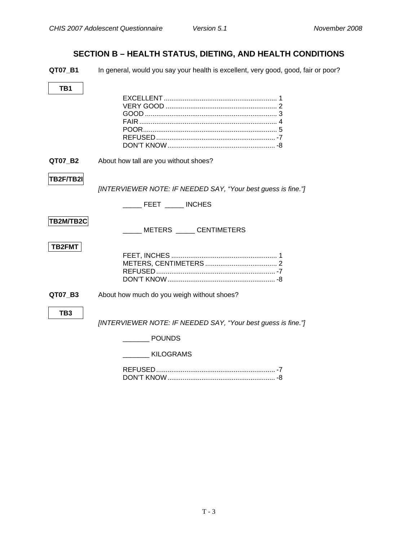### **SECTION B – HEALTH STATUS, DIETING, AND HEALTH CONDITIONS**

<span id="page-5-0"></span>**QT07\_B1** In general, would you say your health is excellent, very good, good, fair or poor?

| QT07 B2         | About how tall are you without shoes?                                                              |
|-----------------|----------------------------------------------------------------------------------------------------|
| TB2F/TB2I       | [INTERVIEWER NOTE: IF NEEDED SAY, "Your best guess is fine."]<br>FEET _____ INCHES                 |
| TB2M/TB2C       | METERS CENTIMETERS                                                                                 |
| <b>TB2FMT</b>   |                                                                                                    |
| QT07_B3         | About how much do you weigh without shoes?                                                         |
| TB <sub>3</sub> | [INTERVIEWER NOTE: IF NEEDED SAY, "Your best guess is fine."]<br><b>POUNDS</b><br><b>KILOGRAMS</b> |
|                 |                                                                                                    |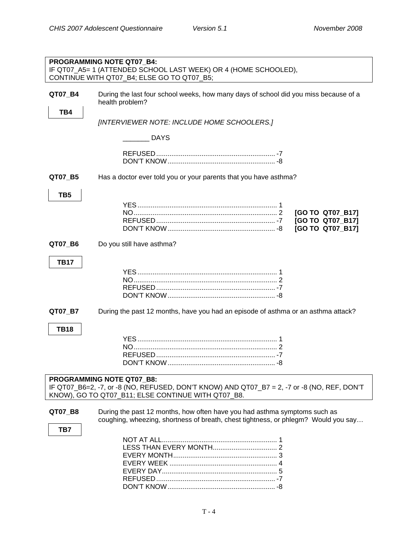<span id="page-6-0"></span>

|                 | PROGRAMMING NOTE QT07 B4:<br>IF QT07_A5= 1 (ATTENDED SCHOOL LAST WEEK) OR 4 (HOME SCHOOLED),                                                                                          |
|-----------------|---------------------------------------------------------------------------------------------------------------------------------------------------------------------------------------|
|                 | CONTINUE WITH QT07_B4; ELSE GO TO QT07_B5;                                                                                                                                            |
| QT07_B4<br>TB4  | During the last four school weeks, how many days of school did you miss because of a<br>health problem?                                                                               |
|                 | [INTERVIEWER NOTE: INCLUDE HOME SCHOOLERS.]                                                                                                                                           |
|                 | <b>DAYS</b>                                                                                                                                                                           |
|                 |                                                                                                                                                                                       |
| QT07_B5         | Has a doctor ever told you or your parents that you have asthma?                                                                                                                      |
| TB <sub>5</sub> | [GO TO QT07_B17]<br>[GO TO QT07_B17]<br>[GO TO QT07_B17]                                                                                                                              |
| QT07_B6         | Do you still have asthma?                                                                                                                                                             |
| <b>TB17</b>     |                                                                                                                                                                                       |
| QT07_B7         | During the past 12 months, have you had an episode of asthma or an asthma attack?                                                                                                     |
| <b>TB18</b>     |                                                                                                                                                                                       |
|                 | <b>PROGRAMMING NOTE QT07_B8:</b><br>IF QT07_B6=2, -7, or -8 (NO, REFUSED, DON'T KNOW) AND QT07_B7 = 2, -7 or -8 (NO, REF, DON'T<br>KNOW), GO TO QT07_B11; ELSE CONTINUE WITH QT07_B8. |
| QT07_B8<br>TB7  | During the past 12 months, how often have you had asthma symptoms such as<br>coughing, wheezing, shortness of breath, chest tightness, or phlegm? Would you say                       |
|                 |                                                                                                                                                                                       |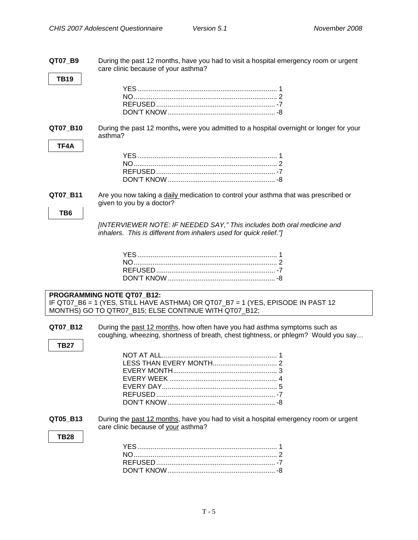**QT07\_B9** During the past 12 months, have you had to visit a hospital emergency room or urgent care clinic because of your asthma? **TB19**  YES .......................................................................... 1 NO............................................................................ 2 REFUSED............................................................... -7 DON'T KNOW. **QT07\_B10** During the past 12 months**,** were you admitted to a hospital overnight or longer for your asthma? **TF4A**  YES .......................................................................... 1 NO............................................................................ 2 REFUSED............................................................... -7 DON'T KNOW......................................................... -8 **QT07\_B11** Are you now taking a daily medication to control your asthma that was prescribed or given to you by a doctor? **TB6**  *[INTERVIEWER NOTE: IF NEEDED SAY," This includes both oral medicine and inhalers. This is different from inhalers used for quick relief."]*  YES .......................................................................... 1 NO............................................................................ 2 REFUSED............................................................... -7 DON'T KNOW......................................................... -8 **PROGRAMMING NOTE QT07\_B12:**  IF QT07\_B6 = 1 (YES, STILL HAVE ASTHMA) OR QT07\_B7 = 1 (YES, EPISODE IN PAST 12 MONTHS) GO TO QTR07\_B15; ELSE CONTINUE WITH QT07\_B12; **QT07 B12** During the past 12 months, how often have you had asthma symptoms such as coughing, wheezing, shortness of breath, chest tightness, or phlegm? Would you say… **TB27**  NOT AT ALL............................................................. 1 LESS THAN EVERY MONTH.................................. 2 EVERY MONTH....................................................... 3 EVERY WEEK ......................................................... 4 EVERY DAY............................................................. 5 REFUSED............................................................... -7 DON'T KNOW......................................................... -8 **QT05 B13** During the past 12 months, have you had to visit a hospital emergency room or urgent care clinic because of your asthma? **TB28**  YES .......................................................................... 1 NO............................................................................ 2 REFUSED............................................................... -7 DON'T KNOW.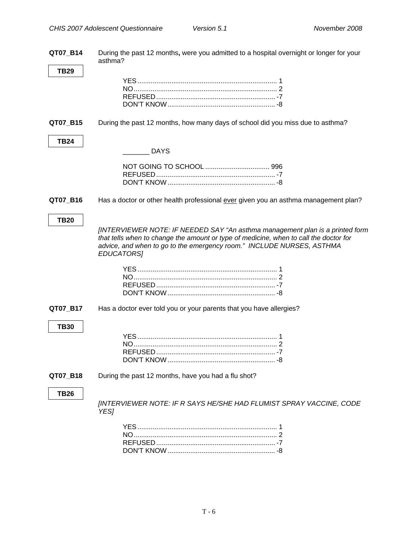<span id="page-8-0"></span>**QT07\_B14** During the past 12 months**,** were you admitted to a hospital overnight or longer for your asthma? **TB29**  YES .......................................................................... 1 NO............................................................................ 2 REFUSED............................................................... -7 DON'T KNOW......................................................... -8 **QT07\_B15** During the past 12 months, how many days of school did you miss due to asthma? **TB24**  \_\_\_\_\_\_\_ DAYS NOT GOING TO SCHOOL .................................. 996 REFUSED............................................................... -7 DON'T KNOW ......................................................... -8 **QT07 B16** Has a doctor or other health professional ever given you an asthma management plan? **TB20**  *[INTERVIEWER NOTE: IF NEEDED SAY "An asthma management plan is a printed form that tells when to change the amount or type of medicine, when to call the doctor for advice, and when to go to the emergency room." INCLUDE NURSES, ASTHMA EDUCATORS]*  YES .......................................................................... 1 NO............................................................................ 2 REFUSED............................................................... -7 DON'T KNOW ......................................................... -8 **QT07 B17** Has a doctor ever told you or your parents that you have allergies? **TB30**  YES .......................................................................... 1 NO............................................................................ 2 REFUSED............................................................... -7 DON'T KNOW ......................................................... -8 **QT07 B18** During the past 12 months, have you had a flu shot? **TB26 [INTERVIEWER NOTE: IF R SAYS HE/SHE HAD FLUMIST SPRAY VACCINE, CODE** *YES]*  YES .......................................................................... 1 NO............................................................................ 2 REFUSED............................................................... -7

DON'T KNOW ......................................................... -8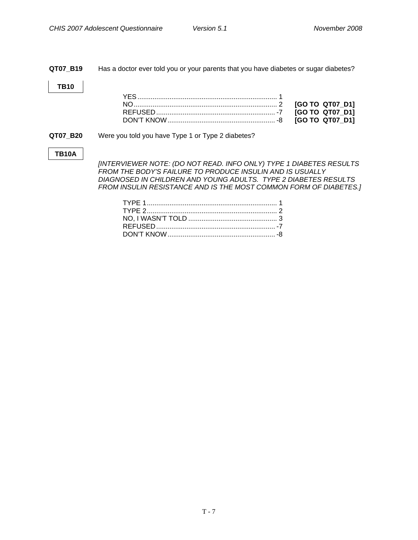#### <span id="page-9-0"></span>**QT07\_B19** Has a doctor ever told you or your parents that you have diabetes or sugar diabetes?

#### **TB10**

**QT07\_B20** Were you told you have Type 1 or Type 2 diabetes?

#### **TB10A**

*[INTERVIEWER NOTE: (DO NOT READ. INFO ONLY) TYPE 1 DIABETES RESULTS FROM THE BODY'S FAILURE TO PRODUCE INSULIN AND IS USUALLY DIAGNOSED IN CHILDREN AND YOUNG ADULTS. TYPE 2 DIABETES RESULTS FROM INSULIN RESISTANCE AND IS THE MOST COMMON FORM OF DIABETES.]*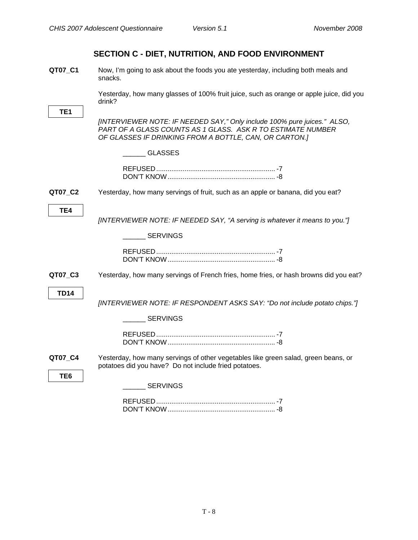<span id="page-10-0"></span>**QT07\_C1** Now, I'm going to ask about the foods you ate yesterday, including both meals and snacks.

> Yesterday, how many glasses of 100% fruit juice, such as orange or apple juice, did you drink?

|                 | umm:                                                                                                                                                                                              |
|-----------------|---------------------------------------------------------------------------------------------------------------------------------------------------------------------------------------------------|
| TE <sub>1</sub> |                                                                                                                                                                                                   |
|                 | [INTERVIEWER NOTE: IF NEEDED SAY," Only include 100% pure juices." ALSO,<br>PART OF A GLASS COUNTS AS 1 GLASS. ASK R TO ESTIMATE NUMBER<br>OF GLASSES IF DRINKING FROM A BOTTLE, CAN, OR CARTON.] |
|                 | <b>GLASSES</b>                                                                                                                                                                                    |
|                 |                                                                                                                                                                                                   |
| QT07_C2         | Yesterday, how many servings of fruit, such as an apple or banana, did you eat?                                                                                                                   |
| TE4             | [INTERVIEWER NOTE: IF NEEDED SAY, "A serving is whatever it means to you."]                                                                                                                       |
|                 | <b>SERVINGS</b>                                                                                                                                                                                   |
|                 |                                                                                                                                                                                                   |
| QT07_C3         | Yesterday, how many servings of French fries, home fries, or hash browns did you eat?                                                                                                             |
| <b>TD14</b>     | [INTERVIEWER NOTE: IF RESPONDENT ASKS SAY: "Do not include potato chips."]                                                                                                                        |
|                 | <b>SERVINGS</b>                                                                                                                                                                                   |
|                 |                                                                                                                                                                                                   |
| QT07_C4         | Yesterday, how many servings of other vegetables like green salad, green beans, or<br>potatoes did you have? Do not include fried potatoes.                                                       |
| TE <sub>6</sub> | __ SERVINGS                                                                                                                                                                                       |
|                 |                                                                                                                                                                                                   |
|                 |                                                                                                                                                                                                   |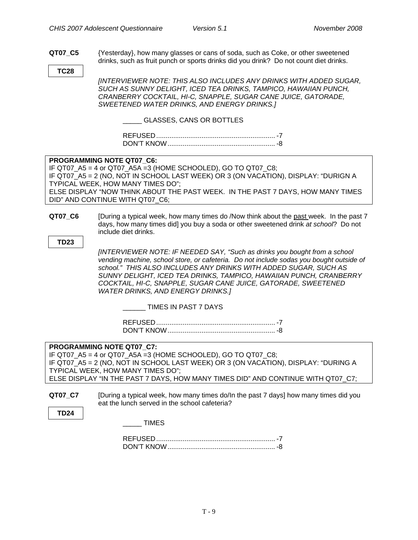<span id="page-11-0"></span>**QT07\_C5** {Yesterday}, how many glasses or cans of soda, such as Coke, or other sweetened drinks, such as fruit punch or sports drinks did you drink? Do not count diet drinks.

**TC28** 

*[INTERVIEWER NOTE: THIS ALSO INCLUDES ANY DRINKS WITH ADDED SUGAR, SUCH AS SUNNY DELIGHT, ICED TEA DRINKS, TAMPICO, HAWAIIAN PUNCH, CRANBERRY COCKTAIL, HI-C, SNAPPLE, SUGAR CANE JUICE, GATORADE, SWEETENED WATER DRINKS, AND ENERGY DRINKS.]* 

\_\_\_\_\_ GLASSES, CANS OR BOTTLES

| <b>MON'T KNOW</b> |  |
|-------------------|--|

#### **PROGRAMMING NOTE QT07\_C6:**

IF QT07\_A5 = 4 or QT07\_A5A =3 (HOME SCHOOLED), GO TO QT07\_C8; IF QT07\_A5 = 2 (NO, NOT IN SCHOOL LAST WEEK) OR 3 (ON VACATION), DISPLAY: "DURIGN A TYPICAL WEEK, HOW MANY TIMES DO"; ELSE DISPLAY "NOW THINK ABOUT THE PAST WEEK. IN THE PAST 7 DAYS, HOW MANY TIMES DID" AND CONTINUE WITH QT07\_C6;

**QT07\_C6** [During a typical week, how many times do /Now think about the past week. In the past 7 days, how many times did] you buy a soda or other sweetened drink *at school*? Do not include diet drinks.

**TD23** 

*[INTERVIEWER NOTE: IF NEEDED SAY, "Such as drinks you bought from a school vending machine, school store, or cafeteria. Do not include sodas you bought outside of school." THIS ALSO INCLUDES ANY DRINKS WITH ADDED SUGAR, SUCH AS SUNNY DELIGHT, ICED TEA DRINKS, TAMPICO, HAWAIIAN PUNCH, CRANBERRY COCKTAIL, HI-C, SNAPPLE, SUGAR CANE JUICE, GATORADE, SWEETENED WATER DRINKS, AND ENERGY DRINKS.]* 

#### \_\_\_\_\_\_ TIMES IN PAST 7 DAYS

| <b>DON'T KNOW</b> |  |
|-------------------|--|

#### **PROGRAMMING NOTE QT07\_C7:**

IF QT07  $A5 = 4$  or QT07  $A5A = 3$  (HOME SCHOOLED), GO TO QT07 C8; IF QT07\_A5 = 2 (NO, NOT IN SCHOOL LAST WEEK) OR 3 (ON VACATION), DISPLAY: "DURING A TYPICAL WEEK, HOW MANY TIMES DO"; ELSE DISPLAY "IN THE PAST 7 DAYS, HOW MANY TIMES DID" AND CONTINUE WITH QT07\_C7;

**QT07 C7** [During a typical week, how many times do/In the past 7 days] how many times did you eat the lunch served in the school cafeteria?

| ۰. |
|----|
|----|

\_\_\_\_\_ TIMES

| ווא דיוור |  |
|-----------|--|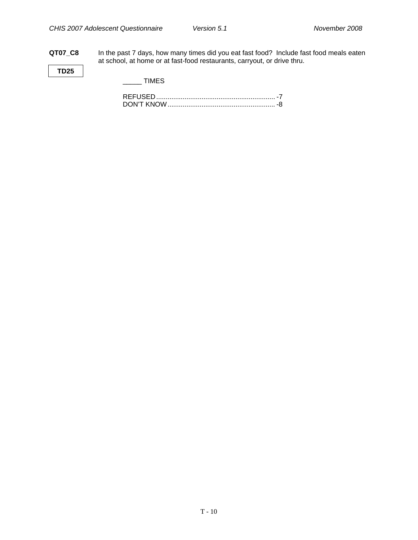**QT07\_C8** In the past 7 days, how many times did you eat fast food? Include fast food meals eaten at school, at home or at fast-food restaurants, carryout, or drive thru.

**TD25** 

 $\frac{1}{2}$  TIMES

| ᄃ <i>ᄂ</i>        |  |
|-------------------|--|
| <b>DON'T KNOW</b> |  |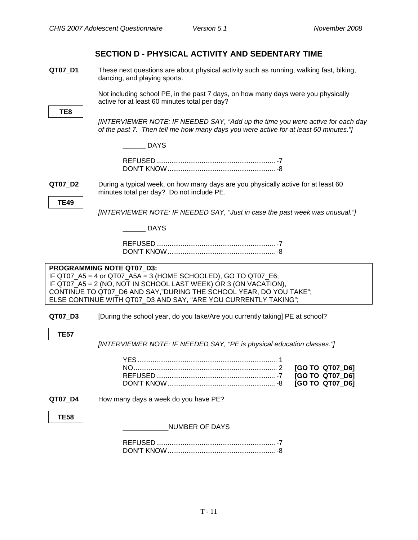#### **SECTION D - PHYSICAL ACTIVITY AND SEDENTARY TIME**

<span id="page-13-0"></span>**QT07 D1** These next questions are about physical activity such as running, walking fast, biking, dancing, and playing sports.

> Not including school PE, in the past 7 days, on how many days were you physically active for at least 60 minutes total per day?

*[INTERVIEWER NOTE: IF NEEDED SAY, "Add up the time you were active for each day of the past 7. Then tell me how many days you were active for at least 60 minutes."]* 

\_\_\_\_\_\_ DAYS

| <b>DON'T KNOW</b> |  |
|-------------------|--|

**QT07 D2** During a typical week, on how many days are you physically active for at least 60 minutes total per day? Do not include PE.

**TE49** 

*[INTERVIEWER NOTE: IF NEEDED SAY, "Just in case the past week was unusual."]* 

 $\_$  DAYS

#### **PROGRAMMING NOTE QT07\_D3:**

IF QT07\_A5 = 4 or QT07\_A5A = 3 (HOME SCHOOLED), GO TO QT07\_E6; IF QT07 A5 = 2 (NO, NOT IN SCHOOL LAST WEEK) OR 3 (ON VACATION), CONTINUE TO QT07\_D6 AND SAY,"DURING THE SCHOOL YEAR, DO YOU TAKE"; ELSE CONTINUE WITH QT07\_D3 AND SAY, "ARE YOU CURRENTLY TAKING";

**QT07 D3** [During the school year, do you take/Are you currently taking] PE at school?

**TE57** 

*[INTERVIEWER NOTE: IF NEEDED SAY, "PE is physical education classes."]*

| <b>IGO TO QT07 D61</b> |
|------------------------|
| <b>IGO TO QT07 D61</b> |
| <b>IGO TO QT07 D61</b> |
|                        |

**QT07 D4** How many days a week do you have PE?

**TE58** 

#### \_\_\_\_\_\_\_\_\_\_\_\_NUMBER OF DAYS

| DON'T KNOW |  |
|------------|--|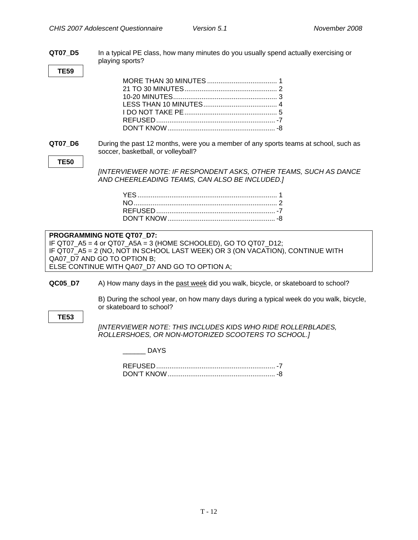<span id="page-14-0"></span>

| QT07 D5     | In a typical PE class, how many minutes do you usually spend actually exercising or<br>playing sports?                                                                                                                                                          |
|-------------|-----------------------------------------------------------------------------------------------------------------------------------------------------------------------------------------------------------------------------------------------------------------|
| <b>TE59</b> |                                                                                                                                                                                                                                                                 |
|             |                                                                                                                                                                                                                                                                 |
| QT07_D6     | During the past 12 months, were you a member of any sports teams at school, such as<br>soccer, basketball, or volleyball?                                                                                                                                       |
| <b>TE50</b> | [INTERVIEWER NOTE: IF RESPONDENT ASKS, OTHER TEAMS, SUCH AS DANCE<br>AND CHEERLEADING TEAMS, CAN ALSO BE INCLUDED.]                                                                                                                                             |
|             |                                                                                                                                                                                                                                                                 |
|             | PROGRAMMING NOTE QT07 D7:<br>IF QT07_A5 = 4 or QT07_A5A = 3 (HOME SCHOOLED), GO TO QT07_D12;<br>IF QT07_A5 = 2 (NO, NOT IN SCHOOL LAST WEEK) OR 3 (ON VACATION), CONTINUE WITH<br>QA07_D7 AND GO TO OPTION B;<br>ELSE CONTINUE WITH QA07_D7 AND GO TO OPTION A; |
| QC05_D7     | A) How many days in the past week did you walk, bicycle, or skateboard to school?                                                                                                                                                                               |
| <b>TE53</b> | B) During the school year, on how many days during a typical week do you walk, bicycle,<br>or skateboard to school?                                                                                                                                             |
|             | <b>JINTERVIEWER NOTE: THIS INCLUDES KIDS WHO RIDE ROLLERBLADES,</b><br>ROLLERSHOES, OR NON-MOTORIZED SCOOTERS TO SCHOOL.]                                                                                                                                       |
|             | <b>DAYS</b>                                                                                                                                                                                                                                                     |
|             |                                                                                                                                                                                                                                                                 |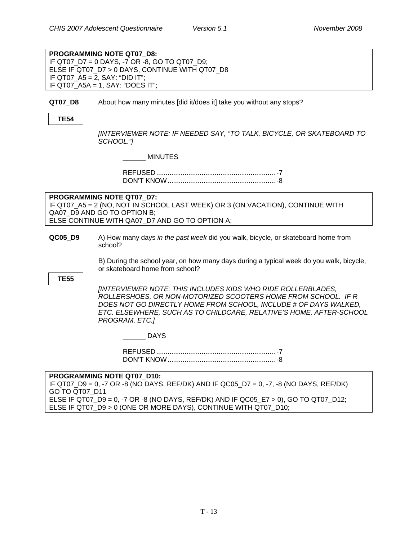**PROGRAMMING NOTE QT07\_D8:**  IF QT07\_D7 = 0 DAYS, -7 OR -8, GO TO QT07\_D9; ELSE IF QT07\_D7 > 0 DAYS, CONTINUE WITH QT07\_D8 IF QT07  $A5 = 2$ , SAY: "DID IT"; IF QT07\_A5A = 1, SAY: "DOES IT";

**QT07 D8** About how many minutes [did it/does it] take you without any stops?

**TE54** 

*[INTERVIEWER NOTE: IF NEEDED SAY, "TO TALK, BICYCLE, OR SKATEBOARD TO SCHOOL."]* 

\_\_\_\_\_\_ MINUTES

| REELISED |  |
|----------|--|
|          |  |

#### **PROGRAMMING NOTE QT07\_D7:**

IF QT07\_A5 = 2 (NO, NOT IN SCHOOL LAST WEEK) OR 3 (ON VACATION), CONTINUE WITH QA07\_D9 AND GO TO OPTION B; ELSE CONTINUE WITH QA07\_D7 AND GO TO OPTION A;

**QC05\_D9** A) How many days *in the past week* did you walk, bicycle, or skateboard home from school?

> B) During the school year, on how many days during a typical week do you walk, bicycle, or skateboard home from school?

#### **TE55**

*[INTERVIEWER NOTE: THIS INCLUDES KIDS WHO RIDE ROLLERBLADES, ROLLERSHOES, OR NON-MOTORIZED SCOOTERS HOME FROM SCHOOL. IF R DOES NOT GO DIRECTLY HOME FROM SCHOOL, INCLUDE # OF DAYS WALKED, ETC. ELSEWHERE, SUCH AS TO CHILDCARE, RELATIVE'S HOME, AFTER-SCHOOL PROGRAM, ETC.]* 

\_\_\_\_\_\_ DAYS

 REFUSED............................................................... -7 DON'T KNOW......................................................... -8

#### **PROGRAMMING NOTE QT07\_D10:**

IF QT07\_D9 = 0, -7 OR -8 (NO DAYS, REF/DK) AND IF QC05\_D7 = 0, -7, -8 (NO DAYS, REF/DK) GO TO QT07\_D11 ELSE IF QT07 D9 = 0, -7 OR -8 (NO DAYS, REF/DK) AND IF QC05  $E7 > 0$ ), GO TO QT07 D12; ELSE IF QT07\_D9 > 0 (ONE OR MORE DAYS), CONTINUE WITH QT07\_D10;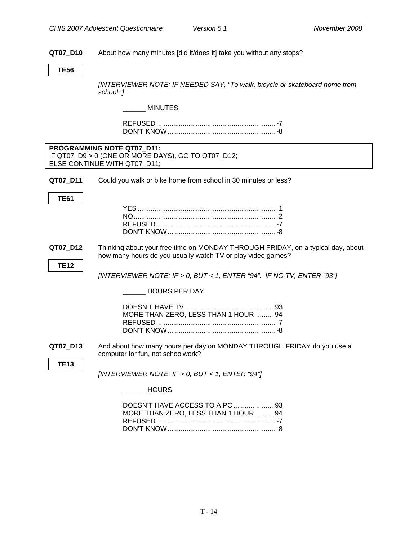#### <span id="page-16-0"></span>**QT07\_D10** About how many minutes [did it/does it] take you without any stops?

#### **TE56**

*[INTERVIEWER NOTE: IF NEEDED SAY, "To walk, bicycle or skateboard home from school."]* 

#### $\_$  MINUTES

| ᄃ <i>ᄂ</i>        |  |
|-------------------|--|
| <b>DON'T KNOW</b> |  |

| <b>PROGRAMMING NOTE QT07 D11:</b>                  |  |
|----------------------------------------------------|--|
| IF QT07_D9 > 0 (ONE OR MORE DAYS), GO TO QT07_D12; |  |
| ELSE CONTINUE WITH QT07 D11;                       |  |

**QT07\_D11** Could you walk or bike home from school in 30 minutes or less?

**TE61** 

#### **QT07\_D12** Thinking about your free time on MONDAY THROUGH FRIDAY, on a typical day, about how many hours do you usually watch TV or play video games?

**TE12** 

**TE13** 

 *[INTERVIEWER NOTE: IF > 0, BUT < 1, ENTER "94". IF NO TV, ENTER "93"]* 

\_\_\_\_\_\_ HOURS PER DAY

| MORE THAN ZERO, LESS THAN 1 HOUR 94 |  |
|-------------------------------------|--|
|                                     |  |
|                                     |  |

**QT07\_D13** And about how many hours per day on MONDAY THROUGH FRIDAY do you use a computer for fun, not schoolwork?

*[INTERVIEWER NOTE: IF > 0, BUT < 1, ENTER "94"]* 

\_\_\_\_\_\_ HOURS

| MORE THAN ZERO, LESS THAN 1 HOUR 94 |  |
|-------------------------------------|--|
|                                     |  |
|                                     |  |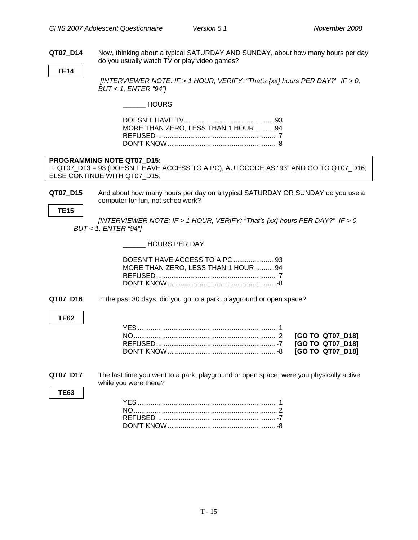<span id="page-17-0"></span>**QT07\_D14** Now, thinking about a typical SATURDAY AND SUNDAY, about how many hours per day do you usually watch TV or play video games?

**TE14** 

*[INTERVIEWER NOTE: IF > 1 HOUR, VERIFY: "That's {xx} hours PER DAY?" IF > 0, BUT < 1, ENTER "94"]* 

\_\_\_\_\_\_ HOURS

| MORE THAN ZERO, LESS THAN 1 HOUR 94 |  |
|-------------------------------------|--|
|                                     |  |
|                                     |  |
|                                     |  |

## **PROGRAMMING NOTE QT07\_D15:**

IF QT07\_D13 = 93 (DOESN'T HAVE ACCESS TO A PC), AUTOCODE AS "93" AND GO TO QT07\_D16; ELSE CONTINUE WITH QT07\_D15;

**QT07\_D15** And about how many hours per day on a typical SATURDAY OR SUNDAY do you use a computer for fun, not schoolwork?

**TE15** 

*[INTERVIEWER NOTE: IF > 1 HOUR, VERIFY: "That's {xx} hours PER DAY?" IF > 0, BUT < 1, ENTER "94"]*

\_\_\_\_\_\_ HOURS PER DAY

| MORE THAN ZERO, LESS THAN 1 HOUR 94 |  |
|-------------------------------------|--|
|                                     |  |
|                                     |  |

**QT07\_D16** In the past 30 days, did you go to a park, playground or open space?

#### **TE62**

**QT07\_D17** The last time you went to a park, playground or open space, were you physically active while you were there?

**TE63**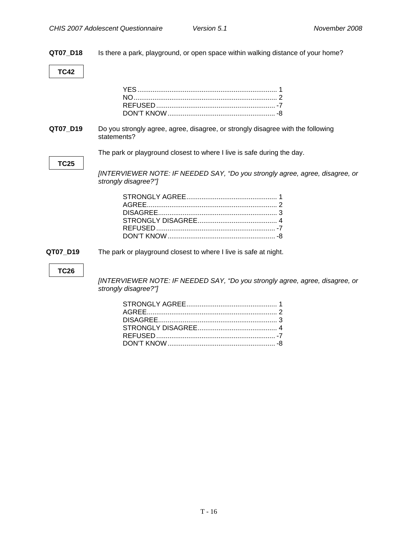**QT07\_D18** Is there a park, playground, or open space within walking distance of your home?

#### **TC42**

**QT07\_D19** Do you strongly agree, agree, disagree, or strongly disagree with the following statements?

The park or playground closest to where I live is safe during the day.

#### **TC25**

*[INTERVIEWER NOTE: IF NEEDED SAY, "Do you strongly agree, agree, disagree, or strongly disagree?"]* 

**QT07\_D19** The park or playground closest to where I live is safe at night.

#### **TC26**

*[INTERVIEWER NOTE: IF NEEDED SAY, "Do you strongly agree, agree, disagree, or strongly disagree?"]*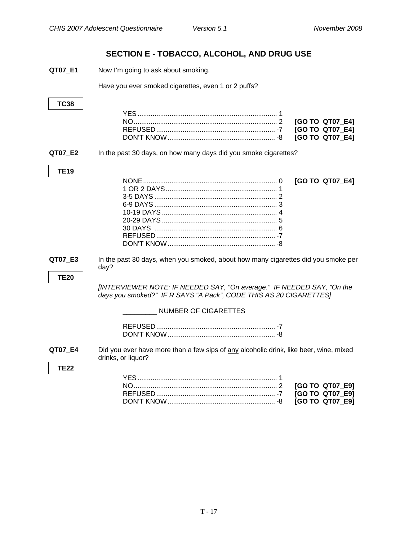#### **SECTION E - TOBACCO, ALCOHOL, AND DRUG USE**

<span id="page-19-0"></span>**QT07 E1** Now I'm going to ask about smoking.

Have you ever smoked cigarettes, even 1 or 2 puffs?

### **TC38**  YES .......................................................................... 1 NO............................................................................ 2 **[GO TO QT07\_E4]**  REFUSED............................................................... -7 **[GO TO QT07\_E4]**  DON'T KNOW......................................................... -8 **[GO TO QT07\_E4] QT07 E2** In the past 30 days, on how many days did you smoke cigarettes? **TE19**  NONE....................................................................... 0 **[GO TO QT07\_E4]**  1 OR 2 DAYS........................................................... 1 3-5 DAYS ................................................................. 2 6-9 DAYS ................................................................. 3 10-19 DAYS ............................................................. 4 20-29 DAYS ............................................................. 5 30 DAYS ................................................................. 6 REFUSED............................................................... -7 DON'T KNOW......................................................... -8 **QT07 E3** In the past 30 days, when you smoked, about how many cigarettes did you smoke per day? **TE20**  *[INTERVIEWER NOTE: IF NEEDED SAY, "On average." IF NEEDED SAY, "On the days you smoked?" IF R SAYS "A Pack", CODE THIS AS 20 CIGARETTES]*  \_\_\_\_\_\_\_\_\_ NUMBER OF CIGARETTES REFUSED............................................................... -7 DON'T KNOW......................................................... -8 **QT07 E4** Did you ever have more than a few sips of any alcoholic drink, like beer, wine, mixed drinks, or liquor? **TE22**  YES .......................................................................... 1 NO............................................................................ 2 **[GO TO QT07\_E9]**  REFUSED............................................................... -7 **[GO TO QT07\_E9]**  DON'T KNOW......................................................... -8 **[GO TO QT07\_E9]**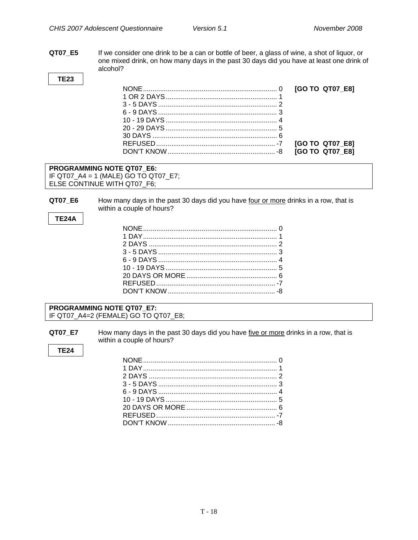QT07\_E5 If we consider one drink to be a can or bottle of beer, a glass of wine, a shot of liquor, or one mixed drink, on how many days in the past 30 days did you have at least one drink of alcohol?

**TE23** 

| 30 DAYS $\ldots$ 6 |  |
|--------------------|--|
|                    |  |
|                    |  |

#### PROGRAMMING NOTE QT07\_E6: IF QT07\_A4 = 1 (MALE) GO TO QT07\_E7; ELSE CONTINUE WITH QT07\_F6;

QT07\_E6 How many days in the past 30 days did you have four or more drinks in a row, that is within a couple of hours?

#### **TE24A**

#### PROGRAMMING NOTE QT07 E7: IF QT07\_A4=2 (FEMALE) GO TO QT07\_E8;

QT07 E7 How many days in the past 30 days did you have five or more drinks in a row, that is within a couple of hours?

**TE24**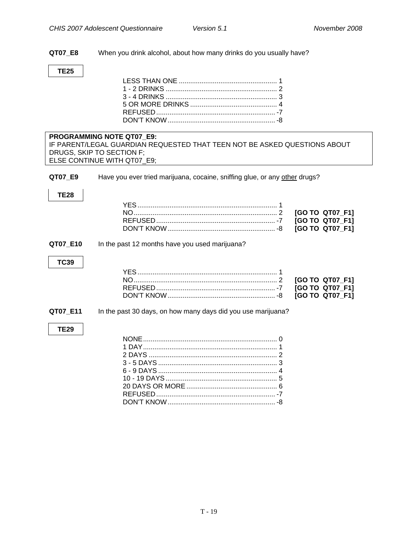**QT07\_E8** When you drink alcohol, about how many drinks do you usually have?

### **TE25**

|         | <b>PROGRAMMING NOTE QT07 E9:</b>                                           |
|---------|----------------------------------------------------------------------------|
|         | IF PARENT/LEGAL GUARDIAN REQUESTED THAT TEEN NOT BE ASKED QUESTIONS ABOUT  |
|         | DRUGS, SKIP TO SECTION F:                                                  |
|         | ELSE CONTINUE WITH QT07 E9:                                                |
|         |                                                                            |
| QT07 E9 | Have you ever tried marijuana, cocaine, sniffing glue, or any other drugs? |

#### **TE28**

#### **QT07\_E10** In the past 12 months have you used marijuana?

#### **TC39**

#### **QT07\_E11** In the past 30 days, on how many days did you use marijuana?

#### **TE29**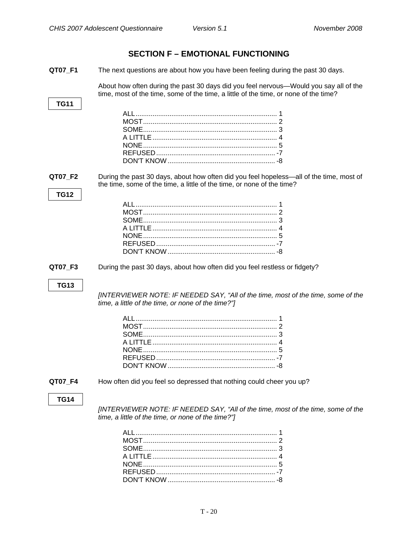<span id="page-22-0"></span>

|             | <b>SECTION F - EMOTIONAL FUNCTIONING</b>                                                                                                                                      |
|-------------|-------------------------------------------------------------------------------------------------------------------------------------------------------------------------------|
| QT07_F1     | The next questions are about how you have been feeling during the past 30 days.                                                                                               |
|             | About how often during the past 30 days did you feel nervous—Would you say all of the<br>time, most of the time, some of the time, a little of the time, or none of the time? |
| <b>TG11</b> |                                                                                                                                                                               |
| QT07_F2     | During the past 30 days, about how often did you feel hopeless—all of the time, most of<br>the time, some of the time, a little of the time, or none of the time?             |
| <b>TG12</b> |                                                                                                                                                                               |
| QT07_F3     | During the past 30 days, about how often did you feel restless or fidgety?                                                                                                    |
| <b>TG13</b> | [INTERVIEWER NOTE: IF NEEDED SAY, "All of the time, most of the time, some of the<br>time, a little of the time, or none of the time?"]                                       |
| QT07 F4     | How often did you feel so depressed that nothing could cheer you up?                                                                                                          |
| <b>TG14</b> | [INTERVIEWER NOTE: IF NEEDED SAY, "All of the time, most of the time, some of the<br>time, a little of the time, or none of the time?"]                                       |

DON'T KNOW ......................................................... -8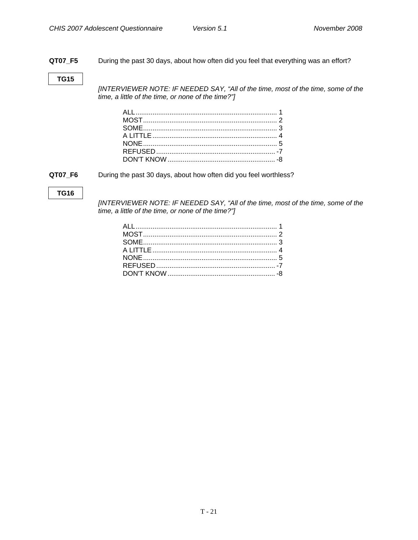**QT07\_F5** During the past 30 days, about how often did you feel that everything was an effort?

#### **TG15**

*[INTERVIEWER NOTE: IF NEEDED SAY, "All of the time, most of the time, some of the time, a little of the time, or none of the time?"]* 

**QT07\_F6** During the past 30 days, about how often did you feel worthless?

#### **TG16**

*[INTERVIEWER NOTE: IF NEEDED SAY, "All of the time, most of the time, some of the time, a little of the time, or none of the time?"]*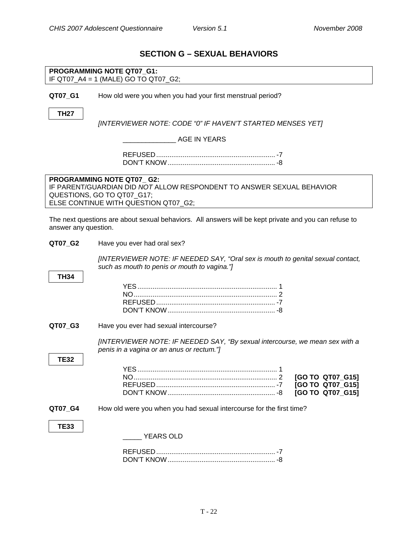### **SECTION G – SEXUAL BEHAVIORS**

<span id="page-24-0"></span>

|                      | PROGRAMMING NOTE QT07 G1:<br>IF QT07_A4 = 1 (MALE) GO TO QT07_G2;                                     |
|----------------------|-------------------------------------------------------------------------------------------------------|
|                      |                                                                                                       |
| QT07_G1              | How old were you when you had your first menstrual period?                                            |
|                      |                                                                                                       |
| <b>TH27</b>          | [INTERVIEWER NOTE: CODE "0" IF HAVEN'T STARTED MENSES YET]                                            |
|                      |                                                                                                       |
|                      | <b>AGE IN YEARS</b>                                                                                   |
|                      |                                                                                                       |
|                      |                                                                                                       |
|                      |                                                                                                       |
|                      | PROGRAMMING NOTE QT07_G2:                                                                             |
|                      | IF PARENT/GUARDIAN DID NOT ALLOW RESPONDENT TO ANSWER SEXUAL BEHAVIOR                                 |
|                      |                                                                                                       |
|                      | QUESTIONS, GO TO QT07_G17;                                                                            |
|                      | ELSE CONTINUE WITH QUESTION QT07_G2;                                                                  |
|                      |                                                                                                       |
|                      | The next questions are about sexual behaviors. All answers will be kept private and you can refuse to |
| answer any question. |                                                                                                       |
|                      |                                                                                                       |
| QT07_G2              | Have you ever had oral sex?                                                                           |
|                      |                                                                                                       |
|                      | [INTERVIEWER NOTE: IF NEEDED SAY, "Oral sex is mouth to genital sexual contact,                       |
|                      | such as mouth to penis or mouth to vagina."]                                                          |
|                      |                                                                                                       |
| <b>TH34</b>          |                                                                                                       |
|                      |                                                                                                       |
|                      |                                                                                                       |
|                      |                                                                                                       |
|                      |                                                                                                       |
|                      |                                                                                                       |
|                      |                                                                                                       |
| QT07_G3              | Have you ever had sexual intercourse?                                                                 |
|                      |                                                                                                       |
|                      | [INTERVIEWER NOTE: IF NEEDED SAY, "By sexual intercourse, we mean sex with a                          |
|                      | penis in a vagina or an anus or rectum."]                                                             |
| <b>TE32</b>          |                                                                                                       |
|                      | <b>YES</b><br>1                                                                                       |
|                      | [GO TO QT07_G15]                                                                                      |
|                      | [GO TO QT07_G15]                                                                                      |
|                      |                                                                                                       |
|                      | [GO TO QT07_G15]                                                                                      |
|                      |                                                                                                       |
| QT07_G4              | How old were you when you had sexual intercourse for the first time?                                  |
|                      |                                                                                                       |
| <b>TE33</b>          |                                                                                                       |
|                      | <b>YEARS OLD</b>                                                                                      |
|                      |                                                                                                       |
|                      |                                                                                                       |
|                      |                                                                                                       |
|                      |                                                                                                       |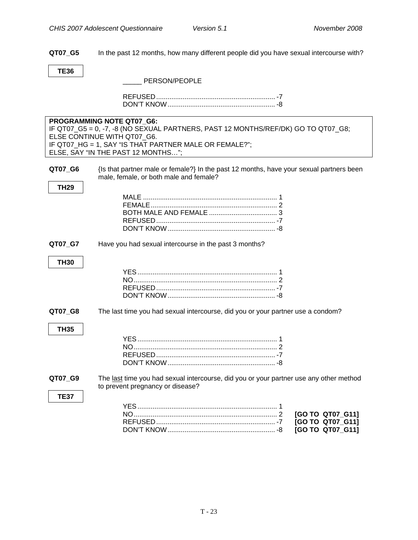<span id="page-25-0"></span>**QT07\_G5** In the past 12 months, how many different people did you have sexual intercourse with?

**TE36** 

| PERSON/PEOPLE |
|---------------|
|               |

|                        | PROGRAMMING NOTE QT07_G6:<br>IF QT07_G5 = 0, -7, -8 (NO SEXUAL PARTNERS, PAST 12 MONTHS/REF/DK) GO TO QT07_G8;<br>ELSE CONTINUE WITH QT07 G6.<br>IF QT07_HG = 1, SAY "IS THAT PARTNER MALE OR FEMALE?";<br>ELSE, SAY "IN THE PAST 12 MONTHS"; |
|------------------------|-----------------------------------------------------------------------------------------------------------------------------------------------------------------------------------------------------------------------------------------------|
| QT07_G6<br><b>TH29</b> | {Is that partner male or female?} In the past 12 months, have your sexual partners been<br>male, female, or both male and female?                                                                                                             |
| QT07_G7<br><b>TH30</b> | Have you had sexual intercourse in the past 3 months?                                                                                                                                                                                         |
| QT07_G8<br><b>TH35</b> | The last time you had sexual intercourse, did you or your partner use a condom?                                                                                                                                                               |
| QT07_G9<br><b>TE37</b> | The last time you had sexual intercourse, did you or your partner use any other method<br>to prevent pregnancy or disease?<br>[GO TO QT07_G11]<br>[GO TO QT07_G11]<br>[GO TO QT07 G11]                                                        |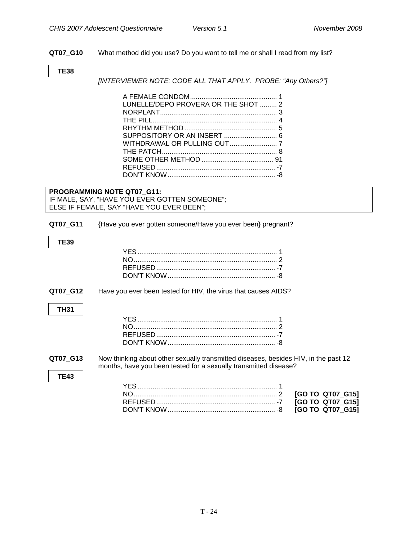<span id="page-26-0"></span>**QT07\_G10** What method did you use? Do you want to tell me or shall I read from my list?

#### **TE38**

*[INTERVIEWER NOTE: CODE ALL THAT APPLY. PROBE: "Any Others?"]* 

| LUNELLE/DEPO PROVERA OR THE SHOT  2 |  |
|-------------------------------------|--|
|                                     |  |
|                                     |  |
|                                     |  |
|                                     |  |
|                                     |  |
|                                     |  |
|                                     |  |
|                                     |  |
|                                     |  |
|                                     |  |

**PROGRAMMING NOTE QT07\_G11:**  IF MALE, SAY, "HAVE YOU EVER GOTTEN SOMEONE"; ELSE IF FEMALE, SAY "HAVE YOU EVER BEEN";

**QT07\_G11** {Have you ever gotten someone/Have you ever been} pregnant?

**TE39** 

**QT07\_G12** Have you ever been tested for HIV, the virus that causes AIDS?

#### **TH31**

**TE43** 

| וח או דיחר זר |  |
|---------------|--|

**QT07 G13** Now thinking about other sexually transmitted diseases, besides HIV, in the past 12 months, have you been tested for a sexually transmitted disease?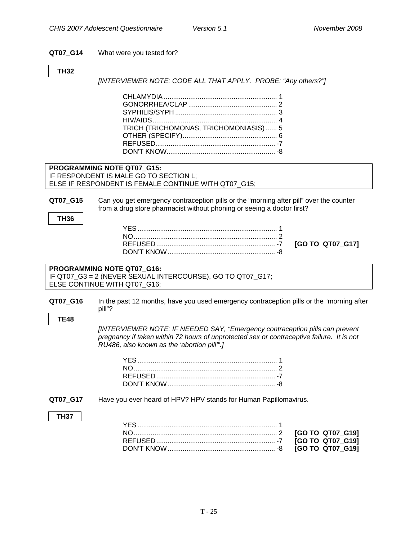#### <span id="page-27-0"></span>**QT07\_G14** What were you tested for?

#### **TH32**

*[INTERVIEWER NOTE: CODE ALL THAT APPLY. PROBE: "Any others?"]* 

| TRICH (TRICHOMONAS, TRICHOMONIASIS)  5 |  |
|----------------------------------------|--|
|                                        |  |
|                                        |  |
|                                        |  |

#### **PROGRAMMING NOTE QT07\_G15:**  IF RESPONDENT IS MALE GO TO SECTION L; ELSE IF RESPONDENT IS FEMALE CONTINUE WITH QT07\_G15;

**QT07\_G15** Can you get emergency contraception pills or the "morning after pill" over the counter from a drug store pharmacist without phoning or seeing a doctor first?

**TH36** 

|  | [GO TO QT07 G17] |  |
|--|------------------|--|

#### **PROGRAMMING NOTE QT07\_G16:**  IF QT07\_G3 = 2 (NEVER SEXUAL INTERCOURSE), GO TO QT07\_G17; ELSE CONTINUE WITH QT07\_G16;

**QT07\_G16** In the past 12 months, have you used emergency contraception pills or the "morning after pill"?

**TE48** 

*[INTERVIEWER NOTE: IF NEEDED SAY, "Emergency contraception pills can prevent pregnancy if taken within 72 hours of unprotected sex or contraceptive failure. It is not RU486, also known as the 'abortion pill'".]* 

**QT07\_G17** Have you ever heard of HPV? HPV stands for Human Papillomavirus.

#### **TH37**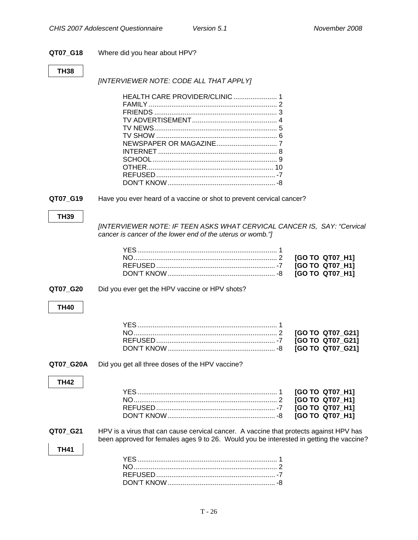### **QT07\_G18** Where did you hear about HPV?

#### **TH38**

*[INTERVIEWER NOTE: CODE ALL THAT APPLY]* 

| QT07_G19                | Have you ever heard of a vaccine or shot to prevent cervical cancer?                                                                                                              |                                                                          |
|-------------------------|-----------------------------------------------------------------------------------------------------------------------------------------------------------------------------------|--------------------------------------------------------------------------|
| <b>TH39</b>             | [INTERVIEWER NOTE: IF TEEN ASKS WHAT CERVICAL CANCER IS, SAY: "Cervical<br>cancer is cancer of the lower end of the uterus or womb."]                                             | [GO TO QT07_H1]<br>[GO TO QT07_H1]<br>[GO TO QT07 H1]                    |
| QT07_G20                | Did you ever get the HPV vaccine or HPV shots?                                                                                                                                    |                                                                          |
| <b>TH40</b>             |                                                                                                                                                                                   |                                                                          |
|                         |                                                                                                                                                                                   | [GO TO QT07_G21]<br>[GO TO QT07_G21]<br>[GO TO QT07_G21]                 |
| QT07_G20A               | Did you get all three doses of the HPV vaccine?                                                                                                                                   |                                                                          |
| <b>TH42</b>             |                                                                                                                                                                                   | [GO TO QT07_H1]<br>[GO TO QT07_H1]<br>[GO TO QT07_H1]<br>[GO TO QT07 H1] |
| QT07_G21<br><b>TH41</b> | HPV is a virus that can cause cervical cancer. A vaccine that protects against HPV has<br>been approved for females ages 9 to 26. Would you be interested in getting the vaccine? |                                                                          |
|                         |                                                                                                                                                                                   |                                                                          |

DON'T KNOW......................................................... -8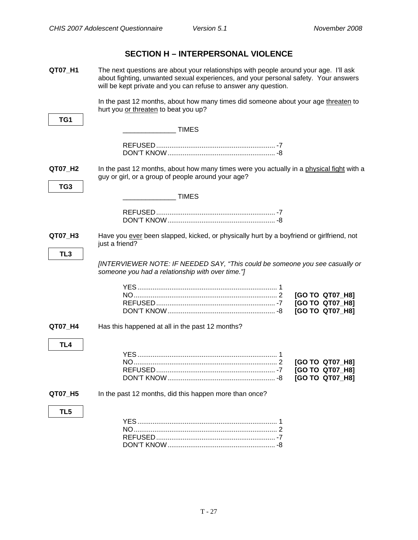### <span id="page-29-0"></span>**QT07 H1** The next questions are about your relationships with people around your age. I'll ask about fighting, unwanted sexual experiences, and your personal safety. Your answers will be kept private and you can refuse to answer any question. In the past 12 months, about how many times did someone about your age threaten to hurt you or threaten to beat you up? **TG1**  \_\_\_\_\_\_\_\_\_\_\_\_\_\_ TIMES REFUSED............................................................... -7 DON'T KNOW......................................................... -8 **QT07\_H2** In the past 12 months, about how many times were you actually in a physical fight with a guy or girl, or a group of people around your age? **TG3**  \_\_\_\_\_\_\_\_\_\_\_\_\_\_ TIMES REFUSED............................................................... -7 DON'T KNOW......................................................... -8 **QT07\_H3** Have you ever been slapped, kicked, or physically hurt by a boyfriend or girlfriend, not just a friend? **TL3**  *[INTERVIEWER NOTE: IF NEEDED SAY, "This could be someone you see casually or someone you had a relationship with over time."]*  YES .......................................................................... 1 NO............................................................................ 2 **[GO TO QT07\_H8]**  REFUSED............................................................... -7 **[GO TO QT07\_H8]**  DON'T KNOW......................................................... -8 **[GO TO QT07\_H8] QT07\_H4** Has this happened at all in the past 12 months? **TL4**  YES .......................................................................... 1 NO............................................................................ 2 **[GO TO QT07\_H8]**  REFUSED............................................................... -7 **[GO TO QT07\_H8]**  DON'T KNOW......................................................... -8 **[GO TO QT07\_H8] QT07\_H5** In the past 12 months, did this happen more than once? **TL5**  YES .......................................................................... 1 NO............................................................................ 2 REFUSED............................................................... -7 DON'T KNOW......................................................... -8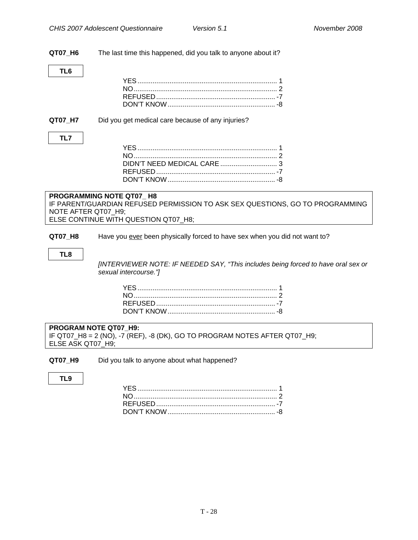**QT07\_H6** The last time this happened, did you talk to anyone about it?

**QT07\_H7** Did you get medical care because of any injuries?

#### **TL7**

#### **PROGRAMMING NOTE QT07\_ H8**  IF PARENT/GUARDIAN REFUSED PERMISSION TO ASK SEX QUESTIONS, GO TO PROGRAMMING NOTE AFTER QT07\_H9; ELSE CONTINUE WITH QUESTION QT07 H8;

**QT07\_H8** Have you ever been physically forced to have sex when you did not want to?

#### **TL8**

*[INTERVIEWER NOTE: IF NEEDED SAY, "This includes being forced to have oral sex or sexual intercourse."]* 

#### **PROGRAM NOTE QT07\_H9:**  IF QT07\_H8 = 2 (NO), -7 (REF), -8 (DK), GO TO PROGRAM NOTES AFTER QT07\_H9; ELSE ASK QT07\_H9;

**QT07\_H9** Did you talk to anyone about what happened?

**TL9**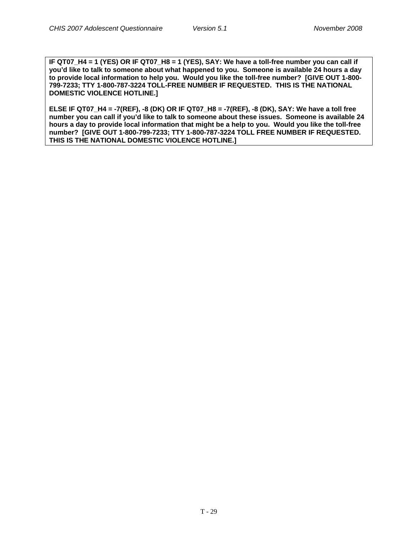**IF QT07\_H4 = 1 (YES) OR IF QT07\_H8 = 1 (YES), SAY: We have a toll-free number you can call if you'd like to talk to someone about what happened to you. Someone is available 24 hours a day to provide local information to help you. Would you like the toll-free number? [GIVE OUT 1-800- 799-7233; TTY 1-800-787-3224 TOLL-FREE NUMBER IF REQUESTED. THIS IS THE NATIONAL DOMESTIC VIOLENCE HOTLINE.]** 

**ELSE IF QT07\_H4 = -7(REF), -8 (DK) OR IF QT07\_H8 = -7(REF), -8 (DK), SAY: We have a toll free number you can call if you'd like to talk to someone about these issues. Someone is available 24 hours a day to provide local information that might be a help to you. Would you like the toll-free number? [GIVE OUT 1-800-799-7233; TTY 1-800-787-3224 TOLL FREE NUMBER IF REQUESTED. THIS IS THE NATIONAL DOMESTIC VIOLENCE HOTLINE.]**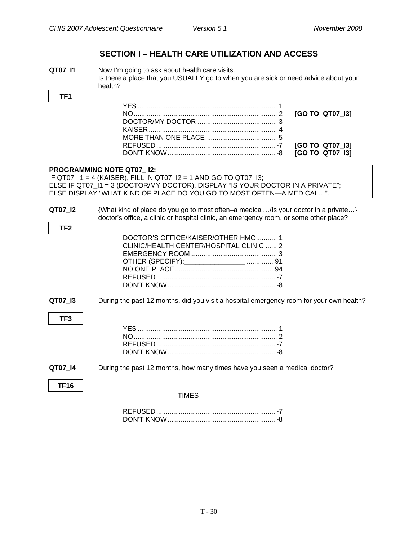### **SECTION I – HEALTH CARE UTILIZATION AND ACCESS**

<span id="page-32-0"></span>**QT07 I1** Now I'm going to ask about health care visits. Is there a place that you USUALLY go to when you are sick or need advice about your health?

> YES .......................................................................... 1 NO............................................................................ 2 **[GO TO QT07\_I3]**  DOCTOR/MY DOCTOR .......................................... 3 KAISER .................................................................... 4 MORE THAN ONE PLACE...................................... 5 REFUSED............................................................... -7 **[GO TO QT07\_I3]**  DON'T KNOW......................................................... -8 **[GO TO QT07\_I3]**

### **PROGRAMMING NOTE QT07\_ I2:**

IF QT07  $11 = 4$  (KAISER), FILL IN QT07  $12 = 1$  AND GO TO QT07  $13$ ; ELSE IF QT07\_I1 = 3 (DOCTOR/MY DOCTOR), DISPLAY "IS YOUR DOCTOR IN A PRIVATE"; ELSE DISPLAY "WHAT KIND OF PLACE DO YOU GO TO MOST OFTEN—A MEDICAL…".

**TF1** 

**QT07\_I2** {What kind of place do you go to most often–a medical…/Is your doctor in a private…} doctor's office, a clinic or hospital clinic, an emergency room, or some other place?

| DOCTOR'S OFFICE/KAISER/OTHER HMO1       |  |
|-----------------------------------------|--|
| CLINIC/HEALTH CENTER/HOSPITAL CLINIC  2 |  |
|                                         |  |
|                                         |  |
|                                         |  |
|                                         |  |
|                                         |  |
|                                         |  |

**QT07\_I3** During the past 12 months, did you visit a hospital emergency room for your own health?

### **TF3**

**QT07\_I4** During the past 12 months, how many times have you seen a medical doctor?

**TF16** 

\_\_\_\_\_\_\_\_\_\_\_\_\_\_ TIMES

| ווא דיוחרר |  |
|------------|--|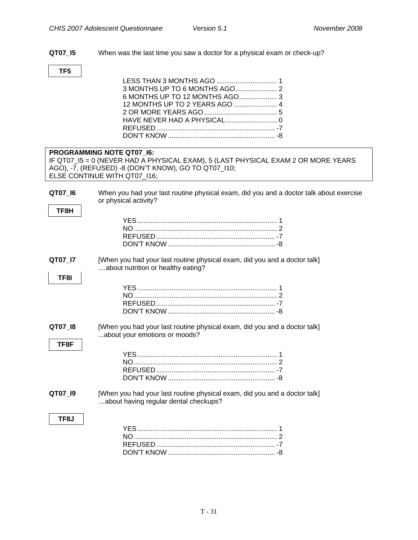<span id="page-33-0"></span>**QT07\_I5** When was the last time you saw a doctor for a physical exam or check-up?

## **TF5**

|         | PROGRAMMING NOTE QT07_I6:                                                              |
|---------|----------------------------------------------------------------------------------------|
|         | IF QT07_I5 = 0 (NEVER HAD A PHYSICAL EXAM), 5 (LAST PHYSICAL EXAM 2 OR MORE YEARS      |
|         | AGO), -7, (REFUSED) -8 (DON'T KNOW), GO TO QT07_I10;                                   |
|         | ELSE CONTINUE WITH QT07_I16;                                                           |
|         |                                                                                        |
| QT07_I6 | When you had your last routine physical exam, did you and a doctor talk about exercise |
|         | or physical activity?                                                                  |
| TF8H    |                                                                                        |
|         |                                                                                        |
|         |                                                                                        |
|         |                                                                                        |
|         |                                                                                        |
|         |                                                                                        |
| QT07_I7 | [When you had your last routine physical exam, did you and a doctor talk]              |
|         | about nutrition or healthy eating?                                                     |
| TF8I    |                                                                                        |
|         |                                                                                        |
|         |                                                                                        |
|         |                                                                                        |
|         |                                                                                        |
|         |                                                                                        |
| QT07_I8 | [When you had your last routine physical exam, did you and a doctor talk]              |
|         | about your emotions or moods?                                                          |
| TF8F    |                                                                                        |
|         |                                                                                        |
|         |                                                                                        |
|         |                                                                                        |
|         |                                                                                        |
|         |                                                                                        |
| QT07_I9 | [When you had your last routine physical exam, did you and a doctor talk]              |
|         | about having regular dental checkups?                                                  |
|         |                                                                                        |
| TF8J    |                                                                                        |
|         |                                                                                        |
|         |                                                                                        |
|         |                                                                                        |
|         |                                                                                        |
|         |                                                                                        |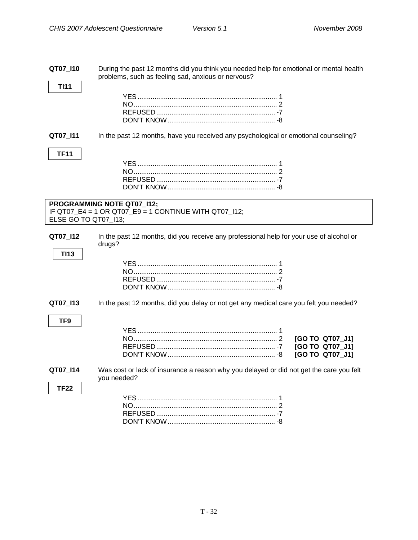<span id="page-34-0"></span>**QT07\_I10** During the past 12 months did you think you needed help for emotional or mental health problems, such as feeling sad, anxious or nervous?

**TF11** 

**TI13**

**TF9** 

**TF22** 

**TI11** 

**QT07\_I11** In the past 12 months, have you received any psychological or emotional counseling?

```
PROGRAMMING NOTE QT07_I12; 
IF QT07_E4 = 1 OR QT07_E9 = 1 CONTINUE WITH QT07_I12; 
ELSE GO TO QT07_I13;
```
**QT07\_I12** In the past 12 months, did you receive any professional help for your use of alcohol or drugs?

**QT07\_I13** In the past 12 months, did you delay or not get any medical care you felt you needed?

**QT07\_I14** Was cost or lack of insurance a reason why you delayed or did not get the care you felt you needed?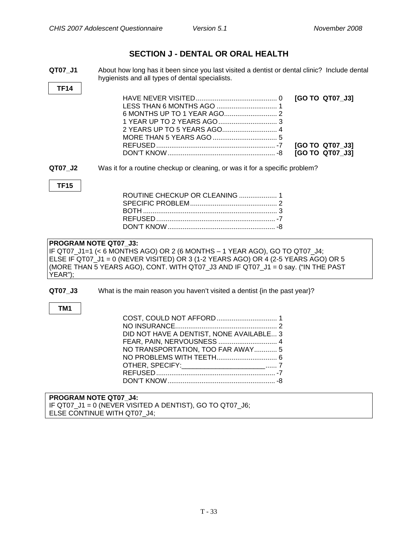### **SECTION J - DENTAL OR ORAL HEALTH**

<span id="page-35-0"></span>**QT07\_J1** About how long has it been since you last visited a dentist or dental clinic? Include dental hygienists and all types of dental specialists.

| <b>TF14</b> |                                                                                                                                                                                                                                                                                |
|-------------|--------------------------------------------------------------------------------------------------------------------------------------------------------------------------------------------------------------------------------------------------------------------------------|
|             | [GO TO QT07_J3]<br>[GO TO QT07_J3]<br>[GO TO QT07_J3]                                                                                                                                                                                                                          |
| QT07_J2     | Was it for a routine checkup or cleaning, or was it for a specific problem?                                                                                                                                                                                                    |
| <b>TF15</b> | ROUTINE CHECKUP OR CLEANING  1                                                                                                                                                                                                                                                 |
| YEAR");     | PROGRAM NOTE QT07 J3:<br>IF QT07_J1=1 (< 6 MONTHS AGO) OR 2 (6 MONTHS – 1 YEAR AGO), GO TO QT07_J4;<br>ELSE IF QT07_J1 = 0 (NEVER VISITED) OR 3 (1-2 YEARS AGO) OR 4 (2-5 YEARS AGO) OR 5<br>(MORE THAN 5 YEARS AGO), CONT. WITH QT07_J3 AND IF QT07_J1 = 0 say. ("IN THE PAST |
| QT07 J3     | What is the main reason you haven't visited a dentist {in the past year}?                                                                                                                                                                                                      |
| TM1         | DID NOT HAVE A DENTIST, NONE AVAILABLE 3<br>FEAR, PAIN, NERVOUSNESS  4<br>NO TRANSPORTATION, TOO FAR AWAY 5<br>OTHER, SPECIFY: _________________________ 7                                                                                                                     |
|             | <b>PROGRAM NOTE QT07 J4:</b>                                                                                                                                                                                                                                                   |

IF QT07\_J1 = 0 (NEVER VISITED A DENTIST), GO TO QT07\_J6; ELSE CONTINUE WITH QT07\_J4;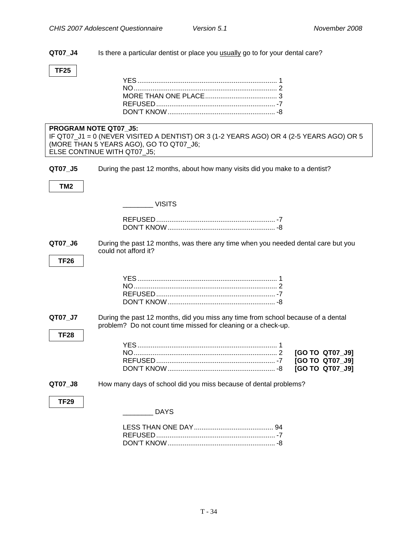**QT07\_J4** Is there a particular dentist or place you usually go to for your dental care?

#### **TF25**

|                 | PROGRAM NOTE QT07 J5:<br>IF QT07_J1 = 0 (NEVER VISITED A DENTIST) OR 3 (1-2 YEARS AGO) OR 4 (2-5 YEARS AGO) OR 5<br>(MORE THAN 5 YEARS AGO), GO TO QT07_J6;<br>ELSE CONTINUE WITH QT07_J5; |
|-----------------|--------------------------------------------------------------------------------------------------------------------------------------------------------------------------------------------|
|                 |                                                                                                                                                                                            |
| QT07_J5         | During the past 12 months, about how many visits did you make to a dentist?                                                                                                                |
| TM <sub>2</sub> |                                                                                                                                                                                            |
|                 | <b>Example 19 VISITS</b>                                                                                                                                                                   |
|                 |                                                                                                                                                                                            |
|                 |                                                                                                                                                                                            |
| QT07_J6         | During the past 12 months, was there any time when you needed dental care but you<br>could not afford it?                                                                                  |
| <b>TF26</b>     |                                                                                                                                                                                            |
|                 |                                                                                                                                                                                            |
|                 |                                                                                                                                                                                            |
|                 |                                                                                                                                                                                            |
|                 |                                                                                                                                                                                            |
| QT07_J7         | During the past 12 months, did you miss any time from school because of a dental<br>problem? Do not count time missed for cleaning or a check-up.                                          |
| <b>TF28</b>     |                                                                                                                                                                                            |
|                 |                                                                                                                                                                                            |
|                 | [GO TO QT07_J9]                                                                                                                                                                            |
|                 | [GO TO QT07_J9]                                                                                                                                                                            |
|                 | [GO TO QT07_J9]                                                                                                                                                                            |
| QT07_J8         | How many days of school did you miss because of dental problems?                                                                                                                           |
| <b>TF29</b>     |                                                                                                                                                                                            |
|                 | <b>DAYS</b>                                                                                                                                                                                |
|                 |                                                                                                                                                                                            |

DON'T KNOW......................................................... -8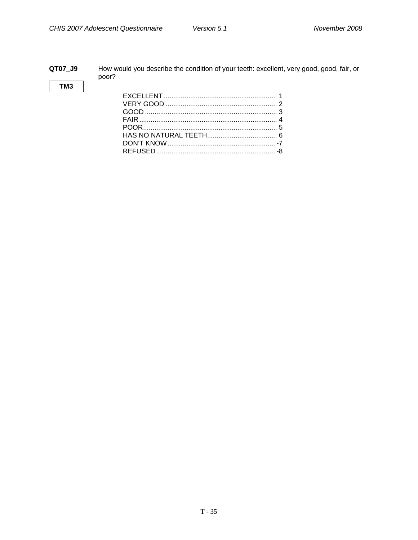#### <span id="page-37-0"></span>**QT07\_J9** How would you describe the condition of your teeth: excellent, very good, good, fair, or poor?

#### **TM3**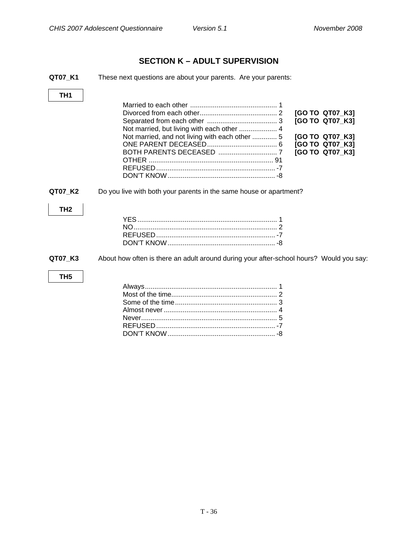### **SECTION K – ADULT SUPERVISION**

<span id="page-38-0"></span>

| QT07 K1         | These next questions are about your parents. Are your parents:                                                                                                                              |
|-----------------|---------------------------------------------------------------------------------------------------------------------------------------------------------------------------------------------|
| TH1             |                                                                                                                                                                                             |
|                 | [GO TO QT07_K3]<br>[GO TO QT07_K3]<br>Not married, but living with each other  4<br>Not married, and not living with each other  5<br>[GO TO QT07_K3]<br>[GO TO QT07_K3]<br>[GO TO QT07_K3] |
| QT07 K2         | Do you live with both your parents in the same house or apartment?                                                                                                                          |
| TH <sub>2</sub> |                                                                                                                                                                                             |
| QT07 K3         | About how often is there an adult around during your after-school hours? Would you say:                                                                                                     |
| TH <sub>5</sub> |                                                                                                                                                                                             |
|                 |                                                                                                                                                                                             |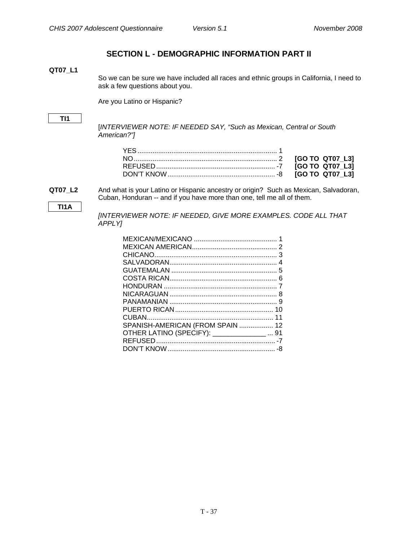### **SECTION L - DEMOGRAPHIC INFORMATION PART II**

#### <span id="page-39-0"></span>**QT07\_L1**

So we can be sure we have included all races and ethnic groups in California, I need to ask a few questions about you.

Are you Latino or Hispanic?

#### **TI1**

[*INTERVIEWER NOTE: IF NEEDED SAY, "Such as Mexican, Central or South American?"]*

**TI1A** 

**QT07\_L2** And what is your Latino or Hispanic ancestry or origin? Such as Mexican, Salvadoran, Cuban, Honduran -- and if you have more than one, tell me all of them.

> *[INTERVIEWER NOTE: IF NEEDED, GIVE MORE EXAMPLES. CODE ALL THAT APPLY]*

| SPANISH-AMERICAN (FROM SPAIN  12             |  |
|----------------------------------------------|--|
| OTHER LATINO (SPECIFY): ________________  91 |  |
|                                              |  |
|                                              |  |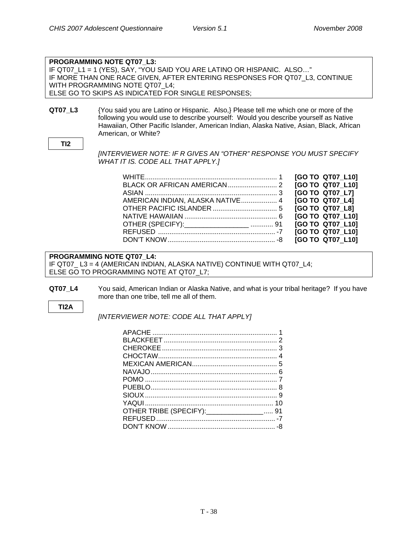|                 | <b>PROGRAMMING NOTE QT07 L3:</b>                                                                                                                                                                                                                                                              |
|-----------------|-----------------------------------------------------------------------------------------------------------------------------------------------------------------------------------------------------------------------------------------------------------------------------------------------|
|                 | IF QT07_L1 = 1 (YES), SAY, "YOU SAID YOU ARE LATINO OR HISPANIC. ALSO"                                                                                                                                                                                                                        |
|                 | IF MORE THAN ONE RACE GIVEN, AFTER ENTERING RESPONSES FOR QT07 L3, CONTINUE                                                                                                                                                                                                                   |
|                 | WITH PROGRAMMING NOTE QT07 L4;                                                                                                                                                                                                                                                                |
|                 | ELSE GO TO SKIPS AS INDICATED FOR SINGLE RESPONSES;                                                                                                                                                                                                                                           |
|                 |                                                                                                                                                                                                                                                                                               |
| QT07_L3         | {You said you are Latino or Hispanic. Also,} Please tell me which one or more of the<br>following you would use to describe yourself: Would you describe yourself as Native<br>Hawaiian, Other Pacific Islander, American Indian, Alaska Native, Asian, Black, African<br>American, or White? |
| TI <sub>2</sub> |                                                                                                                                                                                                                                                                                               |
|                 | [INTERVIEWER NOTE: IF R GIVES AN "OTHER" RESPONSE YOU MUST SPECIFY<br>WHAT IT IS. CODE ALL THAT APPLY.]                                                                                                                                                                                       |

|                                  | [GO TO QT07 L10] |
|----------------------------------|------------------|
|                                  | [GO TO QT07 L10] |
|                                  | [GO TO QT07 L7]  |
| AMERICAN INDIAN, ALASKA NATIVE 4 | [GO TO QT07 L4]  |
|                                  | [GO TO QT07 L8]  |
|                                  | [GO TO QT07_L10] |
| OTHER (SPECIFY): 31              | [GO TO QT07 L10] |
|                                  | [GO TO QT07 L10] |
|                                  | [GO TO QT07 L10] |

#### **PROGRAMMING NOTE QT07\_L4:**

IF QT07\_ L3 = 4 (AMERICAN INDIAN, ALASKA NATIVE) CONTINUE WITH QT07\_L4; ELSE GO TO PROGRAMMING NOTE AT QT07\_L7;

**QT07\_L4** You said, American Indian or Alaska Native, and what is your tribal heritage? If you have more than one tribe, tell me all of them.

#### **TI2A**

*[INTERVIEWER NOTE: CODE ALL THAT APPLY]* 

| OTHER TRIBE (SPECIFY): _________________ 91 |  |
|---------------------------------------------|--|
|                                             |  |
|                                             |  |
|                                             |  |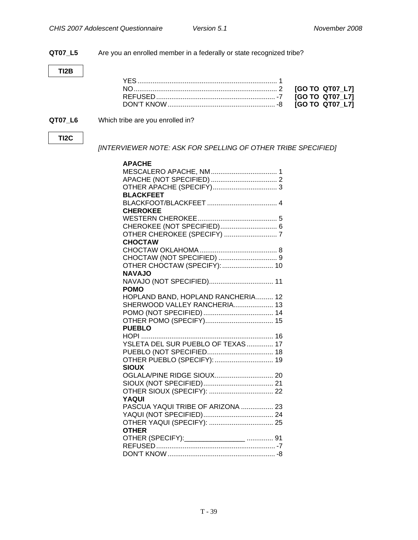**QT07\_L5** Are you an enrolled member in a federally or state recognized tribe?

**TI2B** 

#### **QT07\_L6** Which tribe are you enrolled in?

#### **TI2C**

*[INTERVIEWER NOTE: ASK FOR SPELLING OF OTHER TRIBE SPECIFIED]* 

| <b>APACHE</b>                      |  |
|------------------------------------|--|
| MESCALERO APACHE, NM 1             |  |
|                                    |  |
|                                    |  |
| <b>BLACKFEET</b>                   |  |
|                                    |  |
| <b>CHEROKEE</b>                    |  |
|                                    |  |
| CHEROKEE (NOT SPECIFIED) 6         |  |
|                                    |  |
| <b>CHOCTAW</b>                     |  |
|                                    |  |
|                                    |  |
| OTHER CHOCTAW (SPECIFY):  10       |  |
| <b>NAVAJO</b>                      |  |
| NAVAJO (NOT SPECIFIED) 11          |  |
| <b>POMO</b>                        |  |
| HOPLAND BAND, HOPLAND RANCHERIA 12 |  |
| SHERWOOD VALLEY RANCHERIA 13       |  |
|                                    |  |
|                                    |  |
| <b>PUEBLO</b>                      |  |
|                                    |  |
| YSLETA DEL SUR PUEBLO OF TEXAS  17 |  |
|                                    |  |
| OTHER PUEBLO (SPECIFY):  19        |  |
| <b>SIOUX</b>                       |  |
|                                    |  |
|                                    |  |
|                                    |  |
| YAQUI                              |  |
| PASCUA YAQUI TRIBE OF ARIZONA  23  |  |
|                                    |  |
|                                    |  |
| <b>OTHER</b>                       |  |
|                                    |  |
|                                    |  |
|                                    |  |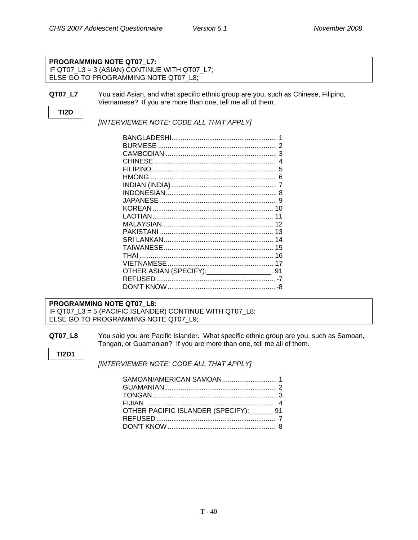#### **PROGRAMMING NOTE QT07\_L7:**  IF QT07 L3 = 3 (ASIAN) CONTINUE WITH QT07 L7; ELSE GO TO PROGRAMMING NOTE QT07\_L8;

**QT07\_L7** You said Asian, and what specific ethnic group are you, such as Chinese, Filipino, Vietnamese? If you are more than one, tell me all of them.

### **TI2D**

*[INTERVIEWER NOTE: CODE ALL THAT APPLY]* 

|                                              | 3 |
|----------------------------------------------|---|
|                                              | 4 |
|                                              |   |
|                                              |   |
|                                              |   |
|                                              |   |
|                                              |   |
|                                              |   |
|                                              |   |
|                                              |   |
|                                              |   |
|                                              |   |
|                                              |   |
|                                              |   |
|                                              |   |
| OTHER ASIAN (SPECIFY): _________________. 91 |   |
|                                              |   |
|                                              |   |
|                                              |   |

#### **PROGRAMMING NOTE QT07\_L8:**  IF QT07\_L3 = 5 (PACIFIC ISLANDER) CONTINUE WITH QT07\_L8; ELSE GO TO PROGRAMMING NOTE QT07 L9;

**QT07\_L8** You said you are Pacific Islander. What specific ethnic group are you, such as Samoan, Tongan, or Guamanian? If you are more than one, tell me all of them.

**TI2D1** 

*[INTERVIEWER NOTE: CODE ALL THAT APPLY]* 

| OTHER PACIFIC ISLANDER (SPECIFY): 91 |  |
|--------------------------------------|--|
|                                      |  |
|                                      |  |
|                                      |  |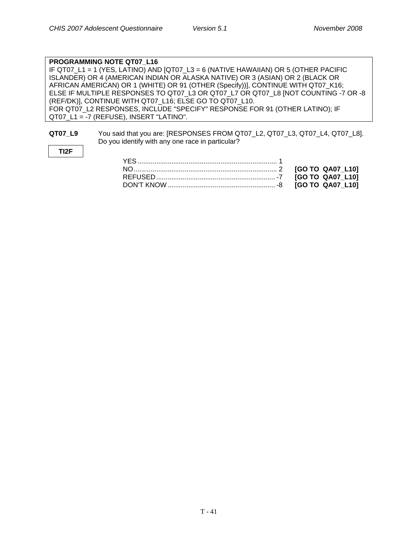#### **PROGRAMMING NOTE QT07\_L16**  IF QT07 L1 = 1 (YES, LATINO) AND [QT07 L3 = 6 (NATIVE HAWAIIAN) OR 5 (OTHER PACIFIC ISLANDER) OR 4 (AMERICAN INDIAN OR ALASKA NATIVE) OR 3 (ASIAN) OR 2 (BLACK OR AFRICAN AMERICAN) OR 1 (WHITE) OR 91 (OTHER (Specify))], CONTINUE WITH QT07\_K16; ELSE IF MULTIPLE RESPONSES TO QT07\_L3 OR QT07\_L7 OR QT07\_L8 [NOT COUNTING -7 OR -8 (REF/DK)], CONTINUE WITH QT07\_L16; ELSE GO TO QT07\_L10. FOR QT07\_L2 RESPONSES, INCLUDE "SPECIFY" RESPONSE FOR 91 (OTHER LATINO); IF QT07 L1 = -7 (REFUSE), INSERT "LATINO".

#### **QT07\_L9** You said that you are: [RESPONSES FROM QT07\_L2, QT07\_L3, QT07\_L4, QT07\_L8]. Do you identify with any one race in particular?

**TI2F**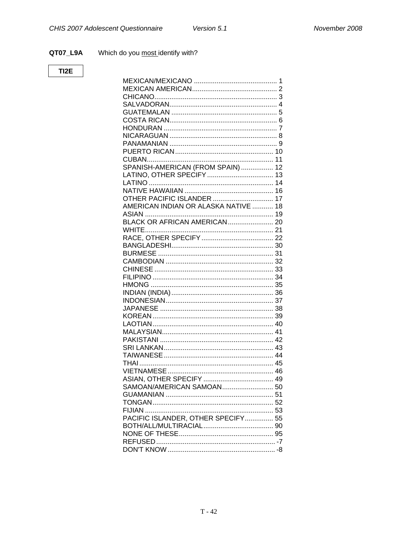#### QT07\_L9A Which do you most identify with?

#### TI2E

| SPANISH-AMERICAN (FROM SPAIN)  12<br><b>OTHER PACIFIC ISLANDER  17</b><br>AMERICAN INDIAN OR ALASKA NATIVE  18<br>PACIFIC ISLANDER, OTHER SPECIFY 55 |  |
|------------------------------------------------------------------------------------------------------------------------------------------------------|--|
|                                                                                                                                                      |  |
|                                                                                                                                                      |  |
|                                                                                                                                                      |  |
|                                                                                                                                                      |  |
|                                                                                                                                                      |  |
|                                                                                                                                                      |  |
|                                                                                                                                                      |  |
|                                                                                                                                                      |  |
|                                                                                                                                                      |  |
|                                                                                                                                                      |  |
|                                                                                                                                                      |  |
|                                                                                                                                                      |  |
|                                                                                                                                                      |  |
|                                                                                                                                                      |  |
|                                                                                                                                                      |  |
|                                                                                                                                                      |  |
|                                                                                                                                                      |  |
|                                                                                                                                                      |  |
|                                                                                                                                                      |  |
|                                                                                                                                                      |  |
|                                                                                                                                                      |  |
|                                                                                                                                                      |  |
|                                                                                                                                                      |  |
|                                                                                                                                                      |  |
|                                                                                                                                                      |  |
|                                                                                                                                                      |  |
|                                                                                                                                                      |  |
|                                                                                                                                                      |  |
|                                                                                                                                                      |  |
|                                                                                                                                                      |  |
|                                                                                                                                                      |  |
|                                                                                                                                                      |  |
|                                                                                                                                                      |  |
|                                                                                                                                                      |  |
|                                                                                                                                                      |  |
|                                                                                                                                                      |  |
|                                                                                                                                                      |  |
|                                                                                                                                                      |  |
|                                                                                                                                                      |  |
|                                                                                                                                                      |  |
|                                                                                                                                                      |  |
|                                                                                                                                                      |  |
|                                                                                                                                                      |  |
|                                                                                                                                                      |  |
|                                                                                                                                                      |  |
|                                                                                                                                                      |  |
|                                                                                                                                                      |  |
|                                                                                                                                                      |  |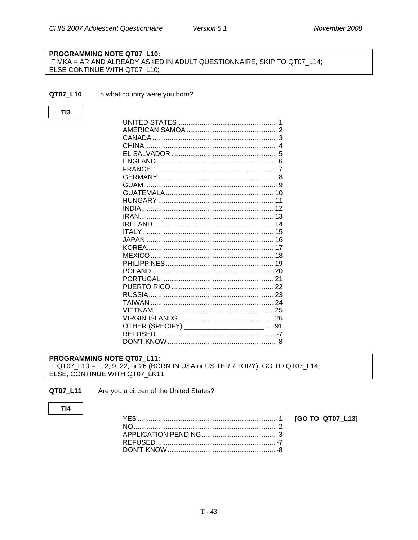#### Version 5.1

#### <span id="page-45-0"></span>PROGRAMMING NOTE QT07 L10: IF MKA = AR AND ALREADY ASKED IN ADULT QUESTIONNAIRE, SKIP TO QT07\_L14; ELSE CONTINUE WITH QT07\_L10;

#### QT07\_L10 In what country were you born?

### $TI3$

|                                                 | 1 |
|-------------------------------------------------|---|
|                                                 |   |
|                                                 |   |
|                                                 |   |
|                                                 |   |
|                                                 |   |
|                                                 |   |
|                                                 |   |
|                                                 |   |
|                                                 |   |
|                                                 |   |
|                                                 |   |
|                                                 |   |
|                                                 |   |
|                                                 |   |
|                                                 |   |
|                                                 |   |
|                                                 |   |
|                                                 |   |
|                                                 |   |
|                                                 |   |
|                                                 |   |
|                                                 |   |
|                                                 |   |
|                                                 |   |
|                                                 |   |
| OTHER (SPECIFY): __________________________  91 |   |
|                                                 |   |
|                                                 |   |
|                                                 |   |

#### PROGRAMMING NOTE QT07\_L11: IF QT07\_L10 = 1, 2, 9, 22, or 26 (BORN IN USA or US TERRITORY), GO TO QT07\_L14; ELSE, CONTINUE WITH QT07\_LK11;

QT07\_L11 Are you a citizen of the United States?

#### $TI4$

[GO TO QT07\_L13]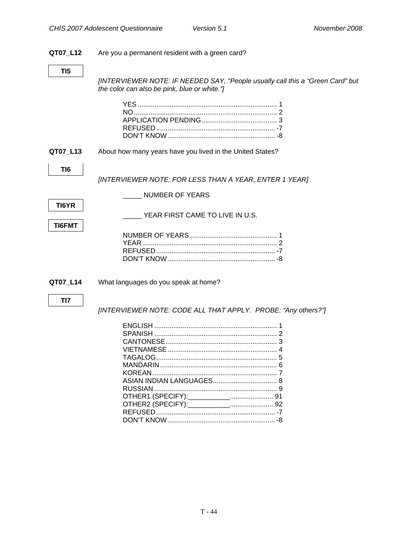#### <span id="page-46-0"></span>**QT07\_L12** Are you a permanent resident with a green card?

*[INTERVIEWER NOTE: IF NEEDED SAY, "People usually call this a "Green Card" but the color can also be pink, blue or white."]* 

**QT07\_L13** About how many years have you lived in the United States?

**TI6** 

*[INTERVIEWER NOTE: FOR LESS THAN A YEAR, ENTER 1 YEAR]* 

\_\_\_\_\_ NUMBER OF YEARS

**TI6FMT** 

YEAR FIRST CAME TO LIVE IN U.S.

**QT07\_L14** What languages do you speak at home?

#### **TI7**

*[INTERVIEWER NOTE: CODE ALL THAT APPLY. PROBE: "Any others?"]*